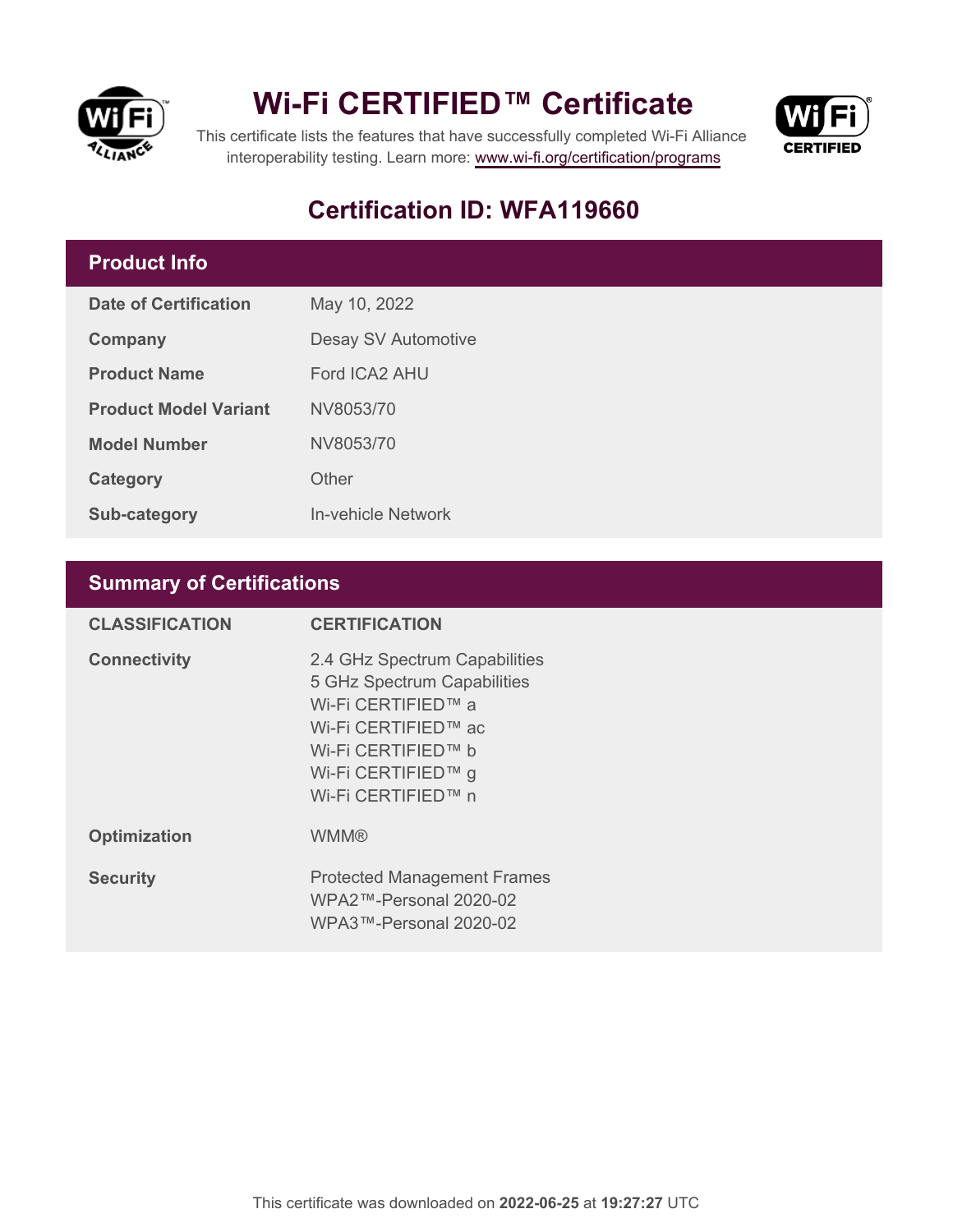

## **Wi-Fi CERTIFIED™ Certificate**



This certificate lists the features that have successfully completed Wi-Fi Alliance interoperability testing. Learn more:<www.wi-fi.org/certification/programs>

## **Certification ID: WFA119660**

### **Product Info**

| Date of Certification        | May 10, 2022        |  |
|------------------------------|---------------------|--|
| Company                      | Desay SV Automotive |  |
| <b>Product Name</b>          | Ford ICA2 AHU       |  |
| <b>Product Model Variant</b> | NV8053/70           |  |
| <b>Model Number</b>          | NV8053/70           |  |
| Category                     | Other               |  |
| <b>Sub-category</b>          | In-vehicle Network  |  |

### **Summary of Certifications**

| <b>CLASSIFICATION</b> | <b>CERTIFICATION</b>                                                                                                                                                        |
|-----------------------|-----------------------------------------------------------------------------------------------------------------------------------------------------------------------------|
| <b>Connectivity</b>   | 2.4 GHz Spectrum Capabilities<br>5 GHz Spectrum Capabilities<br>Wi-Fi CERTIFIED™ a<br>Wi-Fi CERTIFIED™ ac<br>Wi-Fi CERTIFIED™ b<br>Wi-Fi CERTIFIED™ g<br>Wi-Fi CERTIFIED™ n |
| <b>Optimization</b>   | <b>WMM®</b>                                                                                                                                                                 |
| <b>Security</b>       | <b>Protected Management Frames</b><br>$WPA2$ ™-Personal 2020-02<br>WPA3™-Personal 2020-02                                                                                   |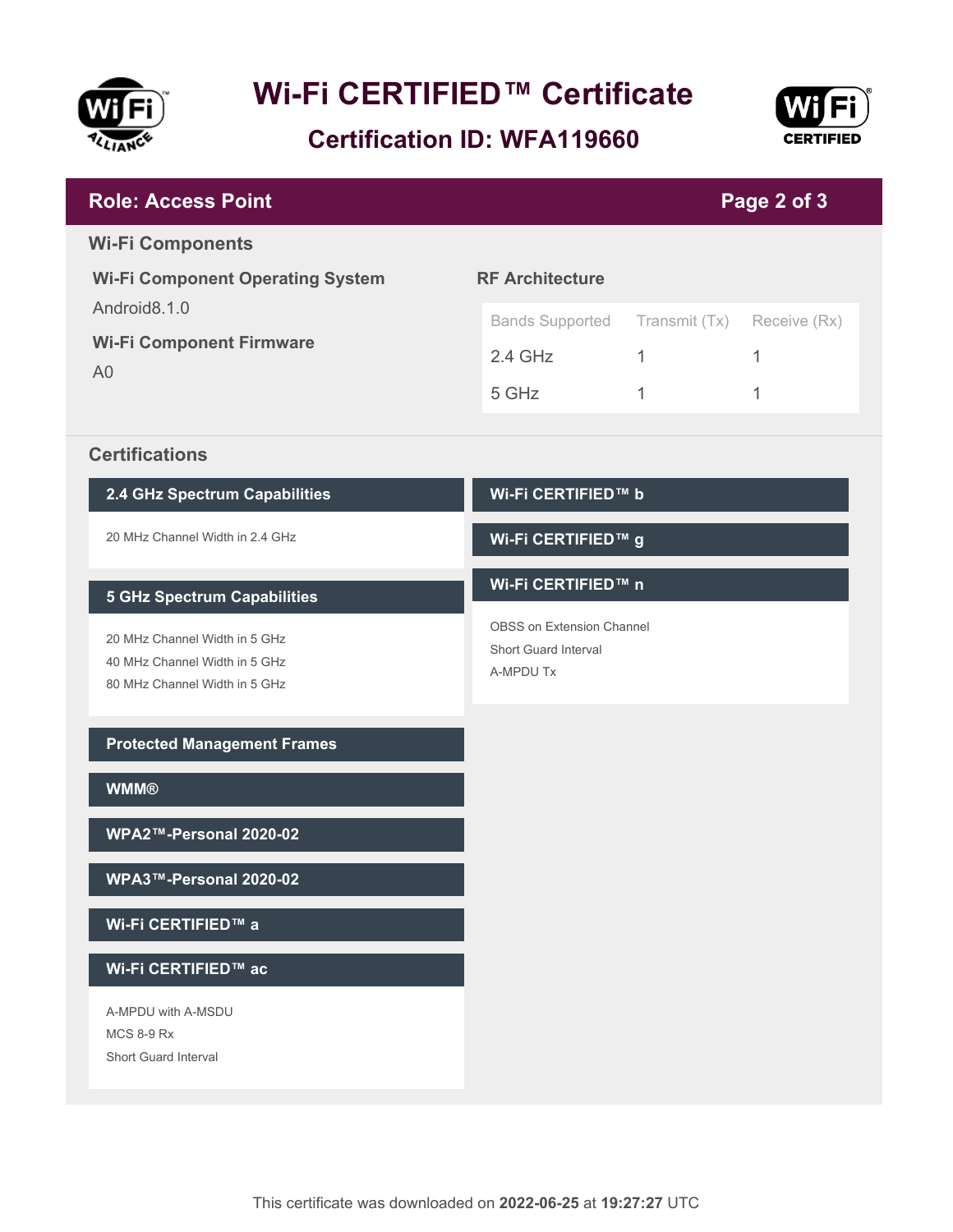

# **Wi-Fi CERTIFIED™ Certificate**

**Certification ID: WFA119660**



| <b>Role: Access Point</b>                                         | Page 2 of 3                                       |               |              |
|-------------------------------------------------------------------|---------------------------------------------------|---------------|--------------|
| <b>Wi-Fi Components</b>                                           |                                                   |               |              |
| <b>Wi-Fi Component Operating System</b>                           | <b>RF Architecture</b>                            |               |              |
| Android8.1.0<br><b>Wi-Fi Component Firmware</b><br>A <sub>0</sub> | <b>Bands Supported</b>                            | Transmit (Tx) | Receive (Rx) |
|                                                                   | $2.4$ GHz                                         | $\mathbf{1}$  | 1            |
|                                                                   | 5 GHz                                             | 1             | 1            |
| <b>Certifications</b>                                             |                                                   |               |              |
| 2.4 GHz Spectrum Capabilities                                     | Wi-Fi CERTIFIED™ b                                |               |              |
| 20 MHz Channel Width in 2.4 GHz                                   | Wi-Fi CERTIFIED™ g                                |               |              |
| <b>5 GHz Spectrum Capabilities</b>                                | Wi-Fi CERTIFIED™ n                                |               |              |
| 20 MHz Channel Width in 5 GHz                                     | OBSS on Extension Channel<br>Short Guard Interval |               |              |
| 40 MHz Channel Width in 5 GHz<br>80 MHz Channel Width in 5 GHz    | A-MPDU Tx                                         |               |              |
|                                                                   |                                                   |               |              |
| <b>Protected Management Frames</b>                                |                                                   |               |              |
| <b>WMM®</b>                                                       |                                                   |               |              |
| WPA2™-Personal 2020-02                                            |                                                   |               |              |
| WPA3™-Personal 2020-02                                            |                                                   |               |              |
| Wi-Fi CERTIFIED™ a                                                |                                                   |               |              |
| Wi-Fi CERTIFIED™ ac                                               |                                                   |               |              |
| A-MPDU with A-MSDU<br><b>MCS 8-9 Rx</b>                           |                                                   |               |              |
| Short Guard Interval                                              |                                                   |               |              |